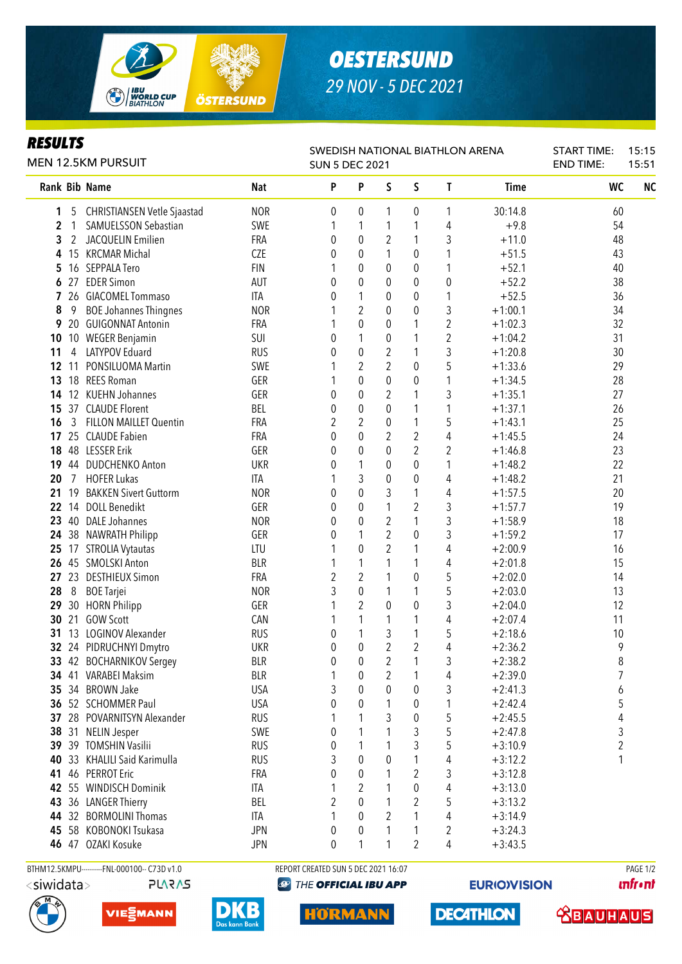

## *OESTERSUND 29 NOV - 5 DEC 2021*

## *RESULTS*

| <b>MEN 12.5KM PURSUIT</b> |                |                                                 |                   | SWEDISH NATIONAL BIATHLON ARENA<br><b>SUN 5 DEC 2021</b> |                  | <b>START TIME:</b><br><b>END TIME:</b> | 15:15<br>15:51   |                |                        |           |           |  |
|---------------------------|----------------|-------------------------------------------------|-------------------|----------------------------------------------------------|------------------|----------------------------------------|------------------|----------------|------------------------|-----------|-----------|--|
|                           |                | <b>Rank Bib Name</b>                            | <b>Nat</b>        | P                                                        | P                | S                                      | S                | T              | Time                   | <b>WC</b> | <b>NC</b> |  |
| 1                         | 5              | <b>CHRISTIANSEN Vetle Sjaastad</b>              | <b>NOR</b>        | 0                                                        | 0                | 1                                      | 0                | 1              | 30:14.8                | 60        |           |  |
| 2                         | 1              | SAMUELSSON Sebastian                            | SWE               |                                                          | 1                | 1                                      | 1                | 4              | $+9.8$                 | 54        |           |  |
| 3                         | 2              | JACQUELIN Emilien                               | FRA               | 0                                                        | 0                | 2                                      | 1                | 3              | $+11.0$                | 48        |           |  |
| 4                         |                | 15 KRCMAR Michal                                | <b>CZE</b>        | 0                                                        | 0                | 1                                      | 0                | 1              | $+51.5$                | 43        |           |  |
| 5                         | 16             | SEPPALA Tero                                    | <b>FIN</b>        | 1                                                        | 0                | 0                                      | 0                | 1              | $+52.1$                | 40        |           |  |
| 6                         |                | 27 EDER Simon                                   | AUT               | 0                                                        | $\pmb{0}$        | 0                                      | 0                | 0              | $+52.2$                | 38        |           |  |
| 7                         |                | 26 GIACOMEL Tommaso                             | ITA               | 0                                                        | 1                | 0                                      | $\pmb{0}$        | 1              | $+52.5$                | 36        |           |  |
| 8                         | 9              | <b>BOE Johannes Thingnes</b>                    | <b>NOR</b>        |                                                          | $\overline{2}$   | 0                                      | $\pmb{0}$        | 3              | $+1:00.1$              | 34        |           |  |
| 9                         |                | 20 GUIGONNAT Antonin                            | FRA               |                                                          | $\pmb{0}$        | $\boldsymbol{0}$                       | 1                | 2              | $+1:02.3$              | 32        |           |  |
|                           |                | 10 10 WEGER Benjamin                            | SUI               | 0                                                        | 1                | $\boldsymbol{0}$                       | 1                | $\overline{c}$ | $+1:04.2$              | 31        |           |  |
| 11                        | 4              | LATYPOV Eduard                                  | <b>RUS</b>        | 0                                                        | $\boldsymbol{0}$ | $\overline{2}$                         | 1                | 3              | $+1:20.8$              | 30        |           |  |
| 12                        | 11             | PONSILUOMA Martin                               | SWE               |                                                          | $\overline{2}$   | $\overline{2}$                         | 0                | 5              | $+1:33.6$              | 29        |           |  |
| 13                        | 18             | <b>REES Roman</b>                               | GER               |                                                          | $\mathbf 0$      | 0                                      | 0                | 1              | $+1:34.5$              | 28        |           |  |
| 14                        | 12             | <b>KUEHN Johannes</b>                           | GER               | 0                                                        | $\mathbf 0$      | 2                                      | 1                | 3              | $+1:35.1$              | 27        |           |  |
| 15                        |                | 37 CLAUDE Florent                               | BEL               | 0                                                        | $\mathbf 0$      | 0                                      | 1                | 1              | $+1:37.1$              | 26        |           |  |
| 16                        | 3              | <b>FILLON MAILLET Quentin</b>                   | FRA               | 2                                                        | 2                | 0                                      | 1                | 5              | $+1:43.1$              | 25        |           |  |
| 17                        |                | 25 CLAUDE Fabien                                | FRA               | 0                                                        | $\mathbf 0$      | $\overline{2}$                         | $\boldsymbol{2}$ | 4              | $+1:45.5$              | 24        |           |  |
| 18                        | 48             | <b>LESSER Erik</b>                              | GER               | 0                                                        | $\mathbf{0}$     | 0                                      | $\overline{2}$   | 2              | $+1:46.8$              | 23        |           |  |
| 19                        | 44             | <b>DUDCHENKO Anton</b>                          | <b>UKR</b>        | 0                                                        | 1                | 0                                      | 0                | 1              | $+1:48.2$              | 22        |           |  |
| 20                        | $\overline{7}$ | <b>HOFER Lukas</b>                              | ITA               |                                                          | 3                | 0                                      | 0                | 4              | $+1:48.2$              | 21        |           |  |
| 21                        | 19             | <b>BAKKEN Sivert Guttorm</b>                    | <b>NOR</b>        | 0                                                        | 0                | 3                                      | 1                | 4              | $+1:57.5$              | 20        |           |  |
| 22                        |                | 14 DOLL Benedikt                                | GER               | 0                                                        | 0                | 1                                      | $\overline{2}$   | 3              | $+1:57.7$              | 19        |           |  |
|                           |                | 23 40 DALE Johannes                             | <b>NOR</b>        | 0                                                        | 0                | 2                                      | 1                | 3              | $+1:58.9$              | 18        |           |  |
| 24                        |                | 38 NAWRATH Philipp                              | GER               | 0                                                        | 1                | 2                                      | 0                | 3              | $+1:59.2$              | 17        |           |  |
|                           |                | 25 17 STROLIA Vytautas                          | LTU               |                                                          | $\mathbf 0$      | 2                                      | 1                | 4              | $+2:00.9$              | 16        |           |  |
|                           |                | 26 45 SMOLSKI Anton                             | <b>BLR</b>        |                                                          | 1                | 1                                      | 1                | 4              | $+2:01.8$              | 15        |           |  |
| 27                        | 23             | <b>DESTHIEUX Simon</b>                          | FRA               | $\overline{2}$                                           | $\overline{2}$   | 1                                      | 0                | 5              | $+2:02.0$              | 14        |           |  |
| 28                        | 8              | <b>BOE</b> Tarjei                               | <b>NOR</b>        | 3                                                        | $\pmb{0}$        | 1                                      | 1                | 5              | $+2:03.0$              | 13        |           |  |
| 29                        |                | 30 HORN Philipp                                 | GER               |                                                          | $\overline{2}$   | 0                                      | 0                | 3              | $+2:04.0$              | 12        |           |  |
| 30                        | 21             | <b>GOW Scott</b>                                | CAN               |                                                          | 1                | 1                                      | 1                | 4              | $+2:07.4$              | 11        |           |  |
| 31                        |                | 13 LOGINOV Alexander                            | <b>RUS</b>        | 0                                                        | 1                | 3                                      | 1                | 5              | $+2:18.6$              | 10        |           |  |
|                           |                | 32 24 PIDRUCHNYI Dmytro                         | <b>UKR</b>        | 0                                                        | $\pmb{0}$        | $\overline{2}$                         | $\overline{2}$   | 4              | $+2:36.2$              | 9         |           |  |
|                           |                | 33 42 BOCHARNIKOV Sergey                        | <b>BLR</b>        | 0                                                        | $\pmb{0}$        | $\overline{2}$                         | $\mathbf{1}$     | 3              | $+2:38.2$              | $\, 8$    |           |  |
|                           |                | 34 41 VARABEI Maksim                            | <b>BLR</b>        | 1                                                        | 0                | 2                                      | 1                | 4              | $+2:39.0$              | 7         |           |  |
|                           |                | 35 34 BROWN Jake                                | <b>USA</b>        | 3                                                        | 0                | 0<br>1                                 | 0                | 3              | $+2:41.3$              | 6<br>5    |           |  |
|                           |                | 36 52 SCHOMMER Paul<br>28 POVARNITSYN Alexander | <b>USA</b>        | 0                                                        | 0<br>1           |                                        | 0                | 1              | $+2:42.4$              |           |           |  |
| 37                        | 38 31          |                                                 | <b>RUS</b>        |                                                          | 1                | 3                                      | 0                | 5              | $+2:45.5$              | 4         |           |  |
|                           |                | <b>NELIN Jesper</b><br>39 39 TOMSHIN Vasilii    | SWE<br><b>RUS</b> | 0<br>0                                                   | 1                |                                        | 3<br>3           | 5<br>5         | $+2:47.8$              | 3         |           |  |
| 40                        |                | 33 KHALILI Said Karimulla                       | <b>RUS</b>        | 3                                                        | 0                | 0                                      | 1                | 4              | $+3:10.9$<br>$+3:12.2$ | 2<br>1    |           |  |
| 41                        |                | 46 PERROT Eric                                  | FRA               | 0                                                        | 0                |                                        | 2                | 3              | $+3:12.8$              |           |           |  |
|                           |                | 42 55 WINDISCH Dominik                          | ITA               |                                                          | 2                |                                        | 0                | 4              | $+3:13.0$              |           |           |  |
|                           |                | 43 36 LANGER Thierry                            | BEL               | 2                                                        | 0                |                                        | 2                | 5              | $+3:13.2$              |           |           |  |
|                           |                | 44 32 BORMOLINI Thomas                          | ITA               |                                                          | 0                | 2                                      | 1                | 4              | $+3:14.9$              |           |           |  |
| 45                        |                | 58 KOBONOKI Tsukasa                             | <b>JPN</b>        | 0                                                        | 0                | 1                                      | 1                | 2              | $+3:24.3$              |           |           |  |
|                           |                | 46 47 OZAKI Kosuke                              | <b>JPN</b>        | 0                                                        | 1                | 1                                      | $\overline{2}$   | 4              | $+3:43.5$              |           |           |  |
|                           |                |                                                 |                   |                                                          |                  |                                        |                  |                |                        |           |           |  |

```
PLARAS
```


**@** THE OFFICIAL IBU APP

**EURIO)VISION** 

**unfront**